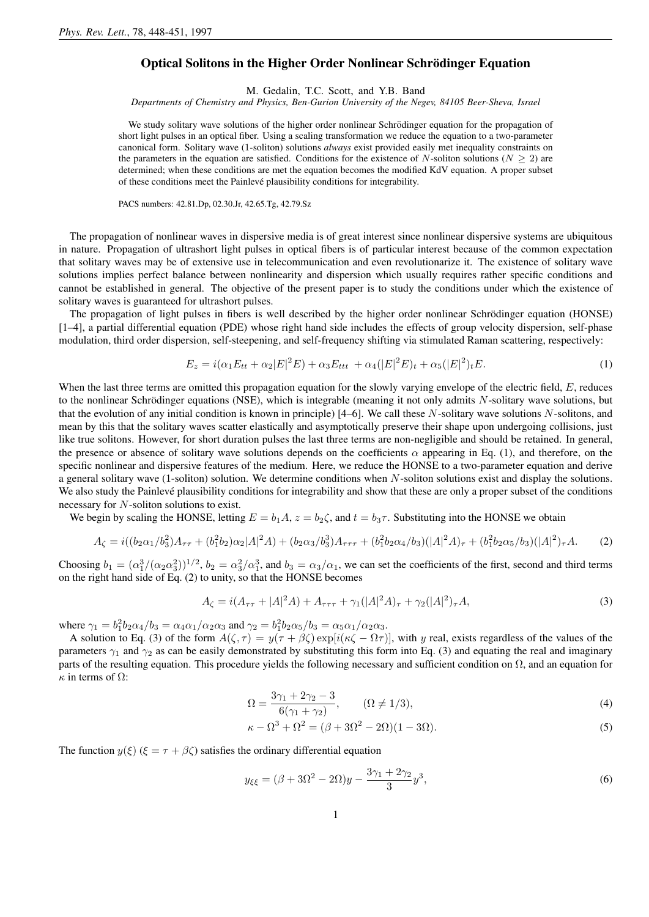## Optical Solitons in the Higher Order Nonlinear Schrödinger Equation

M. Gedalin, T.C. Scott, and Y.B. Band

*Departments of Chemistry and Physics, Ben-Gurion University of the Negev, 84105 Beer-Sheva, Israel*

We study solitary wave solutions of the higher order nonlinear Schrödinger equation for the propagation of short light pulses in an optical fiber. Using a scaling transformation we reduce the equation to a two-parameter canonical form. Solitary wave (1-soliton) solutions *always* exist provided easily met inequality constraints on the parameters in the equation are satisfied. Conditions for the existence of N-soliton solutions ( $N > 2$ ) are determined; when these conditions are met the equation becomes the modified KdV equation. A proper subset of these conditions meet the Painlevé plausibility conditions for integrability.

PACS numbers: 42.81.Dp, 02.30.Jr, 42.65.Tg, 42.79.Sz

The propagation of nonlinear waves in dispersive media is of great interest since nonlinear dispersive systems are ubiquitous in nature. Propagation of ultrashort light pulses in optical fibers is of particular interest because of the common expectation that solitary waves may be of extensive use in telecommunication and even revolutionarize it. The existence of solitary wave solutions implies perfect balance between nonlinearity and dispersion which usually requires rather specific conditions and cannot be established in general. The objective of the present paper is to study the conditions under which the existence of solitary waves is guaranteed for ultrashort pulses.

The propagation of light pulses in fibers is well described by the higher order nonlinear Schrödinger equation (HONSE) [1–4], a partial differential equation (PDE) whose right hand side includes the effects of group velocity dispersion, self-phase modulation, third order dispersion, self-steepening, and self-frequency shifting via stimulated Raman scattering, respectively:

$$
E_z = i(\alpha_1 E_{tt} + \alpha_2 |E|^2 E) + \alpha_3 E_{ttt} + \alpha_4 (|E|^2 E)_t + \alpha_5 (|E|^2)_t E.
$$
\n(1)

When the last three terms are omitted this propagation equation for the slowly varying envelope of the electric field, E, reduces to the nonlinear Schrödinger equations (NSE), which is integrable (meaning it not only admits  $N$ -solitary wave solutions, but that the evolution of any initial condition is known in principle)  $[4–6]$ . We call these N-solitary wave solutions N-solitons, and mean by this that the solitary waves scatter elastically and asymptotically preserve their shape upon undergoing collisions, just like true solitons. However, for short duration pulses the last three terms are non-negligible and should be retained. In general, the presence or absence of solitary wave solutions depends on the coefficients  $\alpha$  appearing in Eq. (1), and therefore, on the specific nonlinear and dispersive features of the medium. Here, we reduce the HONSE to a two-parameter equation and derive a general solitary wave  $(1-soliton)$  solution. We determine conditions when N-soliton solutions exist and display the solutions. We also study the Painlevé plausibility conditions for integrability and show that these are only a proper subset of the conditions necessary for N-soliton solutions to exist.

We begin by scaling the HONSE, letting  $E = b_1 A$ ,  $z = b_2 \zeta$ , and  $t = b_3 \tau$ . Substituting into the HONSE we obtain

$$
A_{\zeta} = i((b_2\alpha_1/b_3^2)A_{\tau\tau} + (b_1^2b_2)\alpha_2|A|^2A) + (b_2\alpha_3/b_3^3)A_{\tau\tau\tau} + (b_1^2b_2\alpha_4/b_3)(|A|^2A)_{\tau} + (b_1^2b_2\alpha_5/b_3)(|A|^2)_{\tau}A. \tag{2}
$$

Choosing  $b_1 = (\alpha_1^3/(\alpha_2 \alpha_3^2))^{1/2}$ ,  $b_2 = \alpha_3^2/\alpha_1^3$ , and  $b_3 = \alpha_3/\alpha_1$ , we can set the coefficients of the first, second and third terms on the right hand side of Eq. (2) to unity, so that the HONSE becomes

$$
A_{\zeta} = i(A_{\tau\tau} + |A|^2 A) + A_{\tau\tau\tau} + \gamma_1(|A|^2 A)_{\tau} + \gamma_2(|A|^2)_{\tau} A,
$$
\n(3)

where  $\gamma_1 = b_1^2 b_2 \alpha_4/b_3 = \alpha_4 \alpha_1/\alpha_2 \alpha_3$  and  $\gamma_2 = b_1^2 b_2 \alpha_5/b_3 = \alpha_5 \alpha_1/\alpha_2 \alpha_3$ .

A solution to Eq. (3) of the form  $A(\zeta, \tau) = y(\tau + \beta \zeta) \exp[i(\kappa \zeta - \Omega \tau)]$ , with y real, exists regardless of the values of the parameters  $\gamma_1$  and  $\gamma_2$  as can be easily demonstrated by substituting this form into Eq. (3) and equating the real and imaginary parts of the resulting equation. This procedure yields the following necessary and sufficient condition on  $\Omega$ , and an equation for  $\kappa$  in terms of  $\Omega$ :

$$
\Omega = \frac{3\gamma_1 + 2\gamma_2 - 3}{6(\gamma_1 + \gamma_2)}, \qquad (\Omega \neq 1/3),
$$
\n(4)

$$
\kappa - \Omega^3 + \Omega^2 = (\beta + 3\Omega^2 - 2\Omega)(1 - 3\Omega). \tag{5}
$$

The function  $y(\xi)$  ( $\xi = \tau + \beta \zeta$ ) satisfies the ordinary differential equation

$$
y_{\xi\xi} = (\beta + 3\Omega^2 - 2\Omega)y - \frac{3\gamma_1 + 2\gamma_2}{3}y^3,
$$
\n(6)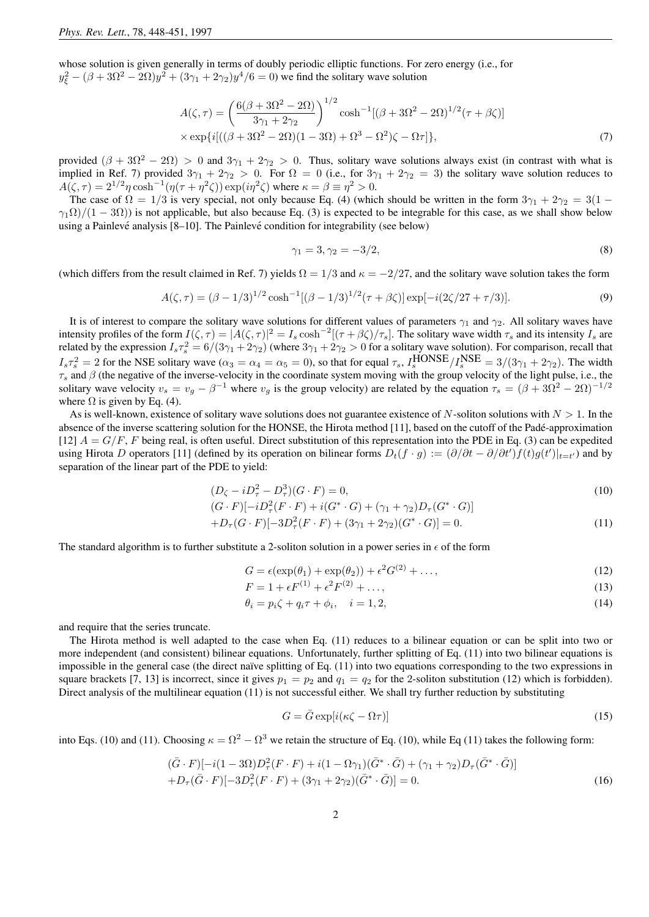whose solution is given generally in terms of doubly periodic elliptic functions. For zero energy (i.e., for  $y_{\xi}^2 - (\beta + 3\Omega^2 - 2\Omega)y^2 + (3\gamma_1 + 2\gamma_2)y^4/6 = 0$ ) we find the solitary wave solution

$$
A(\zeta,\tau) = \left(\frac{6(\beta + 3\Omega^2 - 2\Omega)}{3\gamma_1 + 2\gamma_2}\right)^{1/2} \cosh^{-1}[(\beta + 3\Omega^2 - 2\Omega)^{1/2}(\tau + \beta\zeta)]
$$
  
 
$$
\times \exp\{i[((\beta + 3\Omega^2 - 2\Omega)(1 - 3\Omega) + \Omega^3 - \Omega^2)\zeta - \Omega\tau]\},
$$
 (7)

provided  $(\beta + 3\Omega^2 - 2\Omega) > 0$  and  $3\gamma_1 + 2\gamma_2 > 0$ . Thus, solitary wave solutions always exist (in contrast with what is implied in Ref. 7) provided  $3\gamma_1 + 2\gamma_2 > 0$ . For  $\Omega = 0$  (i.e., for  $3\gamma_1 + 2\gamma_2 = 3$ ) the solitary wave solution reduces to  $A(\zeta, \tau) = 2^{1/2} \eta \cosh^{-1}(\eta(\tau + \eta^2 \zeta)) \exp(i\eta^2 \zeta)$  where  $\kappa = \beta \equiv \eta^2 > 0$ .

The case of  $\Omega = 1/3$  is very special, not only because Eq. (4) (which should be written in the form  $3\gamma_1 + 2\gamma_2 = 3(1 \gamma_1\Omega$ /(1 – 3 $\Omega$ )) is not applicable, but also because Eq. (3) is expected to be integrable for this case, as we shall show below using a Painlevé analysis  $[8-10]$ . The Painlevé condition for integrability (see below)

$$
\gamma_1 = 3, \gamma_2 = -3/2,\tag{8}
$$

(which differs from the result claimed in Ref. 7) yields  $\Omega = 1/3$  and  $\kappa = -2/27$ , and the solitary wave solution takes the form

$$
A(\zeta,\tau) = (\beta - 1/3)^{1/2} \cosh^{-1}[(\beta - 1/3)^{1/2}(\tau + \beta \zeta)] \exp[-i(2\zeta/27 + \tau/3)].
$$
\n(9)

It is of interest to compare the solitary wave solutions for different values of parameters  $\gamma_1$  and  $\gamma_2$ . All solitary waves have intensity profiles of the form  $I(\zeta, \tau) = |A(\zeta, \tau)|^2 = I_s \cosh^{-2}[(\tau + \beta \zeta)/\tau_s]$ . The solitary wave width  $\tau_s$  and its intensity  $I_s$  are related by the expression  $I_s \tau_s^2 = 6/(3\gamma_1 + 2\gamma_2)$  (where  $3\gamma_1 + 2\gamma_2 > 0$  for a solitary wave solution). For comparison, recall that  $I_s \tau_s^2 = 2$  for the NSE solitary wave  $(\alpha_3 = \alpha_4 = \alpha_5 = 0)$ , so that for equal  $\tau_s$ ,  $I_s^{\text{HONSE}}/I_s^{\text{NSE}} = 3/(3\gamma_1 + 2\gamma_2)$ . The width  $\tau_s$  and  $\beta$  (the negative of the inverse-velocity in the coordinate system moving with the group velocity of the light pulse, i.e., the solitary wave velocity  $v_s = v_g - \beta^{-1}$  where  $v_g$  is the group velocity) are related by the equation  $\tau_s = (\beta + 3\Omega^2 - 2\Omega)^{-1/2}$ where  $\Omega$  is given by Eq. (4).

As is well-known, existence of solitary wave solutions does not guarantee existence of N-soliton solutions with  $N > 1$ . In the absence of the inverse scattering solution for the HONSE, the Hirota method [11], based on the cutoff of the Pade-approximation ´ [12]  $A = G/F$ , F being real, is often useful. Direct substitution of this representation into the PDE in Eq. (3) can be expedited using Hirota D operators [11] (defined by its operation on bilinear forms  $D_t(f \cdot g) := (\partial/\partial t - \partial/\partial t')f(t)g(t')|_{t=t'}$ ) and by separation of the linear part of the PDE to yield:

$$
(D_{\zeta} - iD_{\tau}^{2} - D_{\tau}^{3})(G \cdot F) = 0,
$$
\n(10)

$$
(G \cdot F)[-iD^2_\tau(F \cdot F) + i(G^* \cdot G) + (\gamma_1 + \gamma_2)D_\tau(G^* \cdot G)]
$$

$$
+D_{\tau}(G \cdot F)[-3D_{\tau}^{2}(F \cdot F) + (3\gamma_{1} + 2\gamma_{2})(G^{*} \cdot G)] = 0.
$$
\n(11)

The standard algorithm is to further substitute a 2-soliton solution in a power series in  $\epsilon$  of the form

$$
G = \epsilon(\exp(\theta_1) + \exp(\theta_2)) + \epsilon^2 G^{(2)} + \dots,
$$
\n(12)

$$
F = 1 + \epsilon F^{(1)} + \epsilon^2 F^{(2)} + \dots,\tag{13}
$$

$$
\theta_i = p_i \zeta + q_i \tau + \phi_i, \quad i = 1, 2,
$$
\n(14)

and require that the series truncate.

The Hirota method is well adapted to the case when Eq. (11) reduces to a bilinear equation or can be split into two or more independent (and consistent) bilinear equations. Unfortunately, further splitting of Eq. (11) into two bilinear equations is impossible in the general case (the direct naïve splitting of Eq.  $(11)$  into two equations corresponding to the two expressions in square brackets [7, 13] is incorrect, since it gives  $p_1 = p_2$  and  $q_1 = q_2$  for the 2-soliton substitution (12) which is forbidden). Direct analysis of the multilinear equation (11) is not successful either. We shall try further reduction by substituting

$$
G = \bar{G} \exp[i(\kappa \zeta - \Omega \tau)] \tag{15}
$$

into Eqs. (10) and (11). Choosing  $\kappa = \Omega^2 - \Omega^3$  we retain the structure of Eq. (10), while Eq (11) takes the following form:

$$
(\bar{G} \cdot F)[-i(1-3\Omega)D_{\tau}^{2}(F \cdot F) + i(1-\Omega\gamma_{1})(\bar{G}^{*} \cdot \bar{G}) + (\gamma_{1} + \gamma_{2})D_{\tau}(\bar{G}^{*} \cdot \bar{G})] +D_{\tau}(\bar{G} \cdot F)[-3D_{\tau}^{2}(F \cdot F) + (3\gamma_{1} + 2\gamma_{2})(\bar{G}^{*} \cdot \bar{G})] = 0.
$$
\n(16)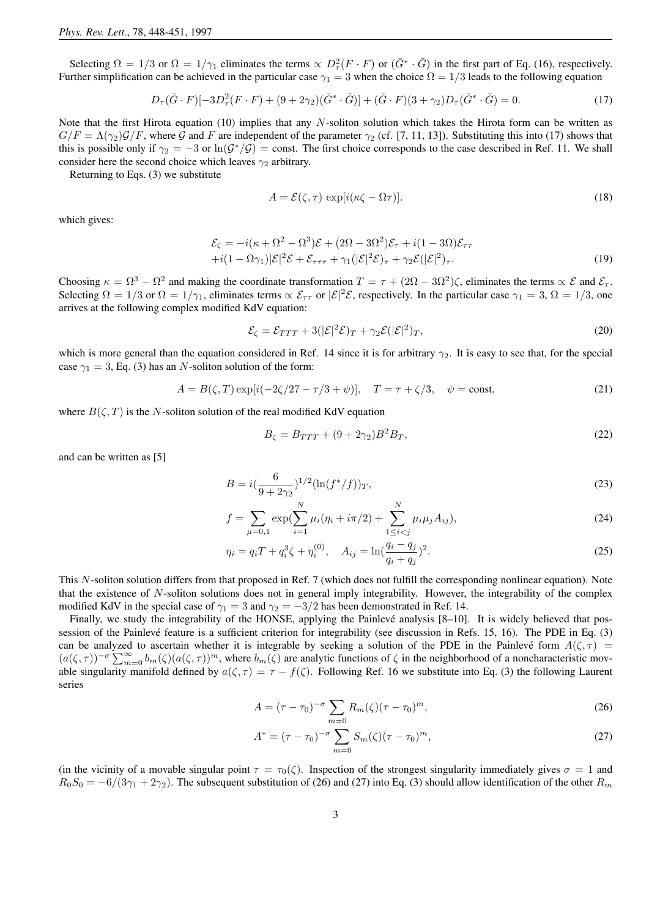Selecting  $\Omega = 1/3$  or  $\Omega = 1/\gamma_1$  eliminates the terms  $\propto D_\tau^2(F \cdot F)$  or  $(\bar{G}^* \cdot \bar{G})$  in the first part of Eq. (16), respectively. Further simplification can be achieved in the particular case  $\gamma_1 = 3$  when the choice  $\Omega = 1/3$  leads to the following equation

$$
D_{\tau}(\bar{G} \cdot F)[-3D_{\tau}^{2}(F \cdot F) + (9+2\gamma_{2})(\bar{G}^{*} \cdot \bar{G})] + (\bar{G} \cdot F)(3+\gamma_{2})D_{\tau}(\bar{G}^{*} \cdot \bar{G}) = 0.
$$
\n(17)

Note that the first Hirota equation (10) implies that any  $N$ -soliton solution which takes the Hirota form can be written as  $G/F = \Lambda(\gamma_2)\mathcal{G}/F$ , where  $\mathcal G$  and  $F$  are independent of the parameter  $\gamma_2$  (cf. [7, 11, 13]). Substituting this into (17) shows that this is possible only if  $\gamma_2 = -3$  or  $\ln(\mathcal{G}^*/\mathcal{G}) = \text{const.}$  The first choice corresponds to the case described in Ref. 11. We shall consider here the second choice which leaves  $\gamma_2$  arbitrary.

Returning to Eqs. (3) we substitute

$$
A = \mathcal{E}(\zeta, \tau) \exp[i(\kappa \zeta - \Omega \tau)]. \tag{18}
$$

which gives:

$$
\mathcal{E}_{\zeta} = -i(\kappa + \Omega^2 - \Omega^3)\mathcal{E} + (2\Omega - 3\Omega^2)\mathcal{E}_{\tau} + i(1 - 3\Omega)\mathcal{E}_{\tau\tau} \n+ i(1 - \Omega\gamma_1)|\mathcal{E}|^2 \mathcal{E} + \mathcal{E}_{\tau\tau\tau} + \gamma_1(|\mathcal{E}|^2 \mathcal{E})_{\tau} + \gamma_2 \mathcal{E}(|\mathcal{E}|^2)_{\tau}.
$$
\n(19)

Choosing  $\kappa = \Omega^3 - \Omega^2$  and making the coordinate transformation  $T = \tau + (2\Omega - 3\Omega^2)\zeta$ , eliminates the terms  $\propto \mathcal{E}$  and  $\mathcal{E}_{\tau}$ . Selecting  $\Omega = 1/3$  or  $\Omega = 1/\gamma_1$ , eliminates terms  $\propto \mathcal{E}_{\tau\tau}$  or  $|\mathcal{E}|^2 \mathcal{E}$ , respectively. In the particular case  $\gamma_1 = 3$ ,  $\Omega = 1/3$ , one arrives at the following complex modified KdV equation:

$$
\mathcal{E}_{\zeta} = \mathcal{E}_{TTT} + 3(|\mathcal{E}|^2 \mathcal{E})_T + \gamma_2 \mathcal{E}(|\mathcal{E}|^2)_T,
$$
\n(20)

which is more general than the equation considered in Ref. 14 since it is for arbitrary  $\gamma_2$ . It is easy to see that, for the special case  $\gamma_1 = 3$ , Eq. (3) has an N-soliton solution of the form:

$$
A = B(\zeta, T) \exp[i(-2\zeta/27 - \tau/3 + \psi)], \quad T = \tau + \zeta/3, \quad \psi = \text{const},
$$
 (21)

where  $B(\zeta, T)$  is the N-soliton solution of the real modified KdV equation

$$
B_{\zeta} = B_{TTT} + (9 + 2\gamma_2)B^2 B_T, \tag{22}
$$

and can be written as [5]

$$
B = i\left(\frac{6}{9 + 2\gamma_2}\right)^{1/2} (\ln(f^*/f))_T,\tag{23}
$$

$$
f = \sum_{\mu=0,1} \exp(\sum_{i=1}^{N} \mu_i (\eta_i + i\pi/2) + \sum_{1 \le i < j}^{N} \mu_i \mu_j A_{ij}),\tag{24}
$$

$$
\eta_i = q_i T + q_i^3 \zeta + \eta_i^{(0)}, \quad A_{ij} = \ln(\frac{q_i - q_j}{q_i + q_j})^2. \tag{25}
$$

This N-soliton solution differs from that proposed in Ref. 7 (which does not fulfill the corresponding nonlinear equation). Note that the existence of N-soliton solutions does not in general imply integrability. However, the integrability of the complex modified KdV in the special case of  $\gamma_1 = 3$  and  $\gamma_2 = -3/2$  has been demonstrated in Ref. 14.

Finally, we study the integrability of the HONSE, applying the Painlevé analysis  $[8-10]$ . It is widely believed that possession of the Painlevé feature is a sufficient criterion for integrability (see discussion in Refs. 15, 16). The PDE in Eq. (3) can be analyzed to ascertain whether it is integrable by seeking a solution of the PDE in the Painlevé form  $A(\zeta, \tau)$  =  $(a(\zeta,\tau))^{-\sigma}\sum_{m=0}^{\infty}b_m(\zeta)(a(\zeta,\tau))^m$ , where  $b_m(\zeta)$  are analytic functions of  $\zeta$  in the neighborhood of a noncharacteristic movable singularity manifold defined by  $a(\zeta, \tau) = \tau - f(\zeta)$ . Following Ref. 16 we substitute into Eq. (3) the following Laurent series

$$
A = (\tau - \tau_0)^{-\sigma} \sum_{m=0} R_m(\zeta) (\tau - \tau_0)^m,
$$
\n(26)

$$
A^* = (\tau - \tau_0)^{-\sigma} \sum_{m=0} S_m(\zeta) (\tau - \tau_0)^m,
$$
\n(27)

(in the vicinity of a movable singular point  $\tau = \tau_0(\zeta)$ ). Inspection of the strongest singularity immediately gives  $\sigma = 1$  and  $R_0S_0 = -6/(3\gamma_1 + 2\gamma_2)$ . The subsequent substitution of (26) and (27) into Eq. (3) should allow identification of the other  $R_m$